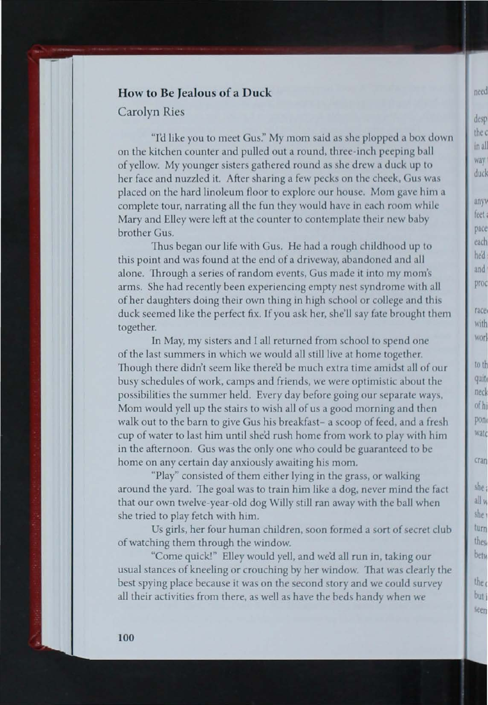## How to Be Jealous of a Duck

## Carolyn Ries

"I'd like you to meet Gus." My mom said as she plopped a box down on the kitchen counter and pulled out a round, three-inch peeping ball of yellow. My younger sisters gathered round as she drew a duck up to her face and nuzzled it. After sharing a few pecks on the cheek, Gus was placed on the hard linoleum floor to explore our house. Mom gave him a complete tour, narrating all the fun they would have in each room while Mary and Elley were left at the counter to contemplate their new baby brother Gus.

Thus began our life with Gus. He had a rough childhood up to this point and was found at the end of a driveway, abandoned and all alone. Through a series of random events, Gus made it into my mom's arms. She had recently been experiencing empty nest syndrome with all of her daughters doing their own thing in high school or college and this duck seemed like the perfect fix. If you ask her, she'll say fate brought them together.

In May, my sisters and I all returned from school to spend one of the last summers in which we would all still live at home together. Though there didn't seem like there'd be much extra time amidst all of our busy schedules of work, camps and friends, we were optimistic about the possibilities the summer held. Every day before going our separate ways, Mom would yell up the stairs to wish all of us a good morning and then walk out to the barn to give Gus his breakfast- a scoop of feed, and a fresh cup of water to last him until she'd rush home from work to play with him in the afternoon. Gus was the only one who could be guaranteed to be home on any certain day anxiously awaiting his mom.

"Play" consisted of them either lying in the grass, or walking around the yard. The goal was to train him like a dog, never mind the fact that our own twelve-year-old dog Willy still ran away with the ball when he tried to play fetch with him.

Us girls, her four human children, soon formed a sort of secret club of watching them through the window.

"Come quick!" Elley would yell, and we'd all run in, taking our usual stances of kneeling or crouching by her window. That was clearly the best spying place because it was on the second story and we could survey all their activities from there, as well as have the beds handy when we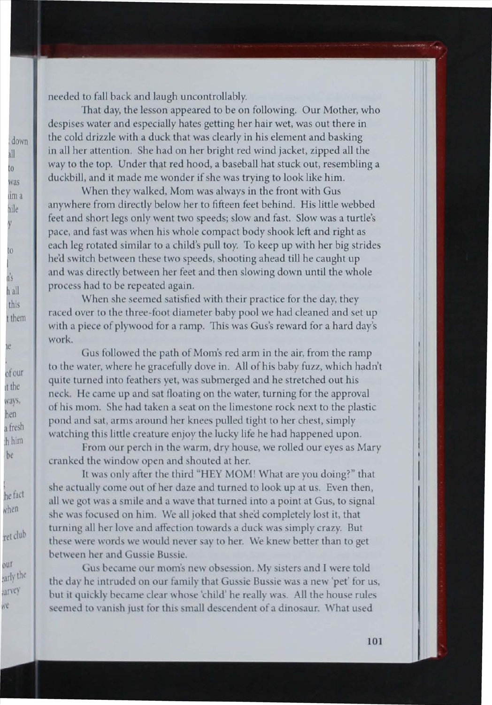needed to fall back and laugh uncontrollably.

That day, the lesson appeared to be on following. Our Mother, who despises water and especially hates getting her hair wet, was out there in the cold drizzle with a duck that was clearly in his element and basking in all her attention. She had on her bright red wind jacket, zipped all the way to the top. Under that red hood, a baseball hat stuck out, resembling a duckbill, and it made me wonder if she was trying to look like him.

When they walked, Mom was always in the front with Gus anywhere from directly below her to fifteen feet behind. His little webbed feet and short legs only went two speeds; slow and fast. Slow was a turtle's pace, and fast was when his whole compact body shook left and right as each leg rotated similar to a child's pull toy. To keep up with her big strides he'd switch between these two speeds, shooting ahead till he caught up and was directly between her feet and then slowing down until the whole process had to be repeated again.

When she seemed satisfied with their practice for the day, they raced over to the three-foot diameter baby pool we had cleaned and set up with a piece of plywood for a ramp. This was Gus's reward for a hard day's work.

Gus followed the path of Mom's red arm in the air, from the ramp to the water, where he gracefully dove in. All of his baby fuzz, which hadn't quite turned into feathers yet, was submerged and he stretched out his neck. He came up and sat floating on the water, turning for the approval of his mom. She had taken a seat on the limestone rock next to the plastic pond and sat, arms around her knees pulled tight to her chest, simply watching this little creature enjoy the lucky life he had happened upon.

From our perch in the warm, dry house, we rolled our eyes as Mary cranked the window open and shouted at her.

It was only after the third "HEY MOM! What are you doing?" that she actually come out of her daze and turned to look up at us. Even then, all we got was a smile and a wave that turned into a point at Gus, to signal she was focused on him. We all joked that she'd completely lost it, that turning all her love and affection towards a duck was simply crazy. But these were words we would never say to her. We knew better than to get between her and Gussie Bussie.

Gus became our mom's new obsession. My sisters and I were told the day he intruded on our family that Gussie Bussie was a new 'pet' for us, but it quickly became clear whose 'child' he really was. All the house rules seemed to vanish just for this small descendent of a dinosaur. What used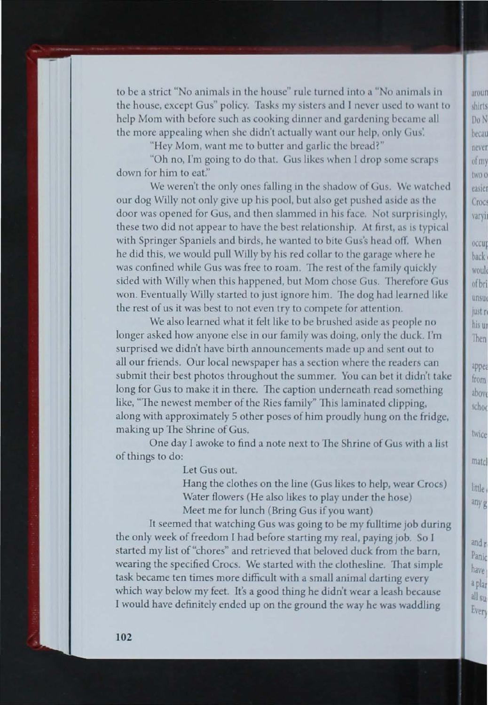to be a strict "No animals in the house" rule turned into a "No animals in the house, except Gus" policy. Tasks my sisters and I never used to want to help Mom with before such as cooking dinner and gardening became all the more appealing when she didn't actually want our help, only Gus'.

"Hey Mom, want me to butter and garlic the bread?"

"Oh no, I'm going to do that. Gus likes when I drop some scraps down for him to eat."

We weren't the only ones falling in the shadow of Gus. We watched our dog Willy not only give up his pool, but also get pushed aside as the door was opened for Gus, and then slammed in his face. Not surprisingly, these two did not appear to have the best relationship. At first, as is typical with Springer Spaniels and birds, he wanted to bite Gus's head off. When he did this, we would pull Willy by his red collar to the garage where he was confined while Gus was free to roam. The rest of the family quickly sided with Willy when this happened, but Mom chose Gus. Therefore Gus won. Eventually Willy started to just ignore him. The dog had learned like the rest of us it was best to not even try to compete for attention.

We also learned what it felt like to be brushed aside as people no longer asked how anyone else in our family was doing, only the duck. I'm surprised we didn't have birth announcements made up and sent out to all our friends. Our local newspaper has a section where the readers can submit their best photos throughout the summer. You can bet it didn't take long for Gus to make it in there. The caption underneath read something like, "The newest member of the Ries family" This laminated clipping, along with approximately 5 other poses of him proudly hung on the fridge, making up The Shrine of Gus.

One day I awoke to find a note next to The Shrine of Gus with a list of things to do:

Let Gus out.

Hang the clothes on the line (Gus likes to help, wear Crocs) Water flowers (He also likes to play under the hose) Meet me for lunch (Bring Gus if you want)

It seemed that watching Gus was going to be my fulltime job during the only week of freedom I had before starting my real, paying job. So I started my list of "chores" and retrieved that beloved duck from the barn, wearing the specified Crocs. We started with the clothesline. That simple task became ten times more difficult with a small animal darting every which way below my feet. It's a good thing he didn't wear a leash because I would have definitely ended up on the ground the way he was waddling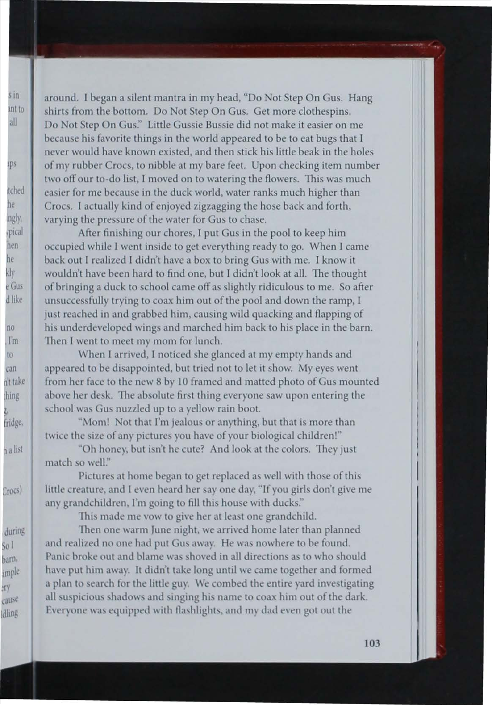around. I began a silent mantra in my head, "Do Not Step On Gus. Hang shirts from the bottom. Do Not Step On Gus. Get more clothespins. Do Not Step On Gus." Little Gussie Bussie did not make it easier on me because his favorite things in the world appeared to be to eat bugs that I never would have known existed, and then stick his little beak in the holes of my rubber Crocs, to nibble at my bare feet. Upon checking item number two off our to-do list, I moved on to watering the flowers. This was much easier for me because in the duck world, water ranks much higher than Crocs. I actually kind of enjoyed zigzagging the hose back and forth, varying the pressure of the water for Gus to chase.

After finishing our chores, I put Gus in the pool to keep him occupied while I went inside to get everything ready to go. When I came back out I realized I didn't have a box to bring Gus with me. I know it wouldn't have been hard to find one, but I didn't look at all. The thought of bringing a duck to school came off as slightly ridiculous to me. So after unsuccessfully trying to coax him out of the pool and down the ramp, I just reached in and grabbed him, causing wild quacking and flapping of his underdeveloped wings and marched him back to his place in the barn. Then I went to meet my mom for lunch.

When I arrived, I noticed she glanced at my empty hands and appeared to be disappointed, but tried not to let it show. My eyes went from her face to the new 8 by 10 framed and matted photo of Gus mounted above her desk. The absolute first thing everyone saw upon entering the school was Gus nuzzled up to a yellow rain boot.

"Mom! Not that I'm jealous or anything, but that is more than twice the size of any pictures you have of your biological children!"

"Oh honey, but isn't he cute? And look at the colors. They just match so well."

Pictures at home began to get replaced as well with those of this little creature, and I even heard her say one day, "If you girls don't give me any grandchildren, I'm going to fill this house with ducks."

This made me vow to give her at least one grandchild.

Then one warm June night, we arrived home later than planned and realized no one had put Gus away. He was nowhere to be found. Panic broke out and blame was shoved in all directions as to who should have put him away. It didn't take long until we came together and formed a plan to search for the little guy. We combed the entire yard investigating all suspicious shadows and singing his name to coax him out of the dark. Everyone was equipped with flashlights, and my dad even got out the